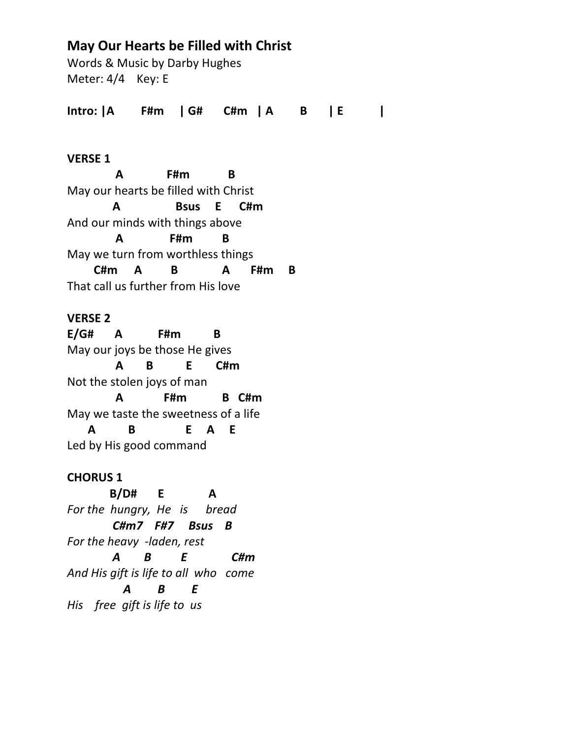# **May Our Hearts be Filled with Christ**

Words & Music by Darby Hughes Meter: 4/4 Key: E

**Intro: |A F#m | G# C#m | A B | E |**

## **VERSE 1**

 **A F#m B** May our hearts be filled with Christ  **A Bsus E C#m** And our minds with things above  **A F#m B**  May we turn from worthless things  **C#m A B A F#m B** That call us further from His love

# **VERSE 2**

**E/G# A F#m B** May our joys be those He gives  **A B E C#m** Not the stolen joys of man  **A F#m B C#m** May we taste the sweetness of a life  **A B E A E** Led by His good command

# **CHORUS 1**

 **B/D# E A** *For the hungry, He is bread C#m7 F#7 Bsus B For the heavy -laden, rest A B E C#m And His gift is life to all who come A B E His free gift is life to us*